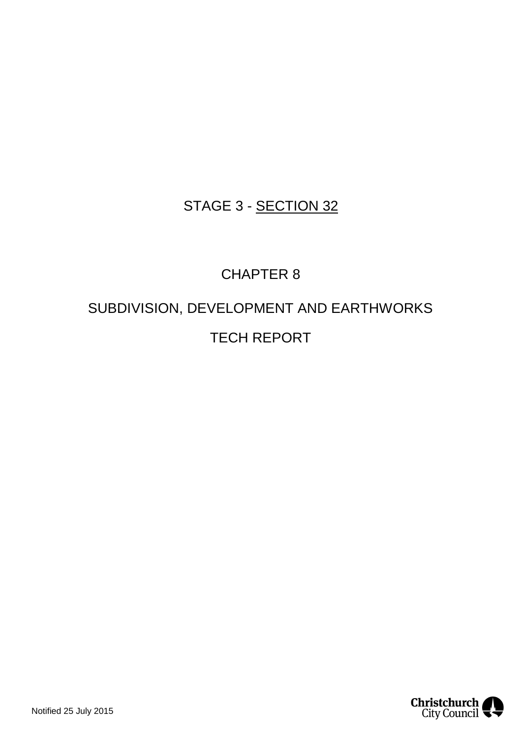### STAGE 3 - SECTION 32

## CHAPTER 8

# SUBDIVISION, DEVELOPMENT AND EARTHWORKS TECH REPORT

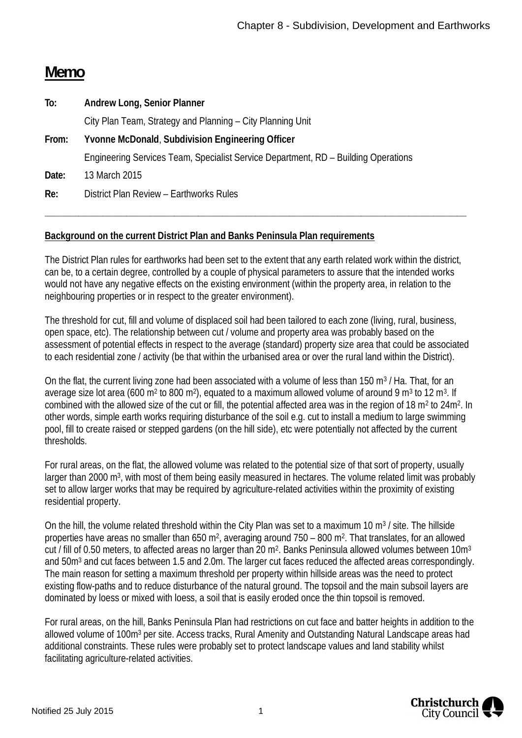### **Memo**

| City Plan Team, Strategy and Planning – City Planning Unit                         |
|------------------------------------------------------------------------------------|
|                                                                                    |
| Engineering Services Team, Specialist Service Department, RD - Building Operations |
|                                                                                    |
|                                                                                    |
|                                                                                    |

### **Background on the current District Plan and Banks Peninsula Plan requirements**

The District Plan rules for earthworks had been set to the extent that any earth related work within the district, can be, to a certain degree, controlled by a couple of physical parameters to assure that the intended works would not have any negative effects on the existing environment (within the property area, in relation to the neighbouring properties or in respect to the greater environment).

**\_\_\_\_\_\_\_\_\_\_\_\_\_\_\_\_\_\_\_\_\_\_\_\_\_\_\_\_\_\_\_\_\_\_\_\_\_\_\_\_\_\_\_\_\_\_\_\_\_\_\_\_\_\_\_\_\_\_\_\_\_\_\_\_\_\_\_\_\_\_\_\_\_\_\_\_\_\_\_\_\_\_\_\_\_\_\_\_**

The threshold for cut, fill and volume of displaced soil had been tailored to each zone (living, rural, business, open space, etc). The relationship between cut / volume and property area was probably based on the assessment of potential effects in respect to the average (standard) property size area that could be associated to each residential zone / activity (be that within the urbanised area or over the rural land within the District).

On the flat, the current living zone had been associated with a volume of less than 150 m<sup>3</sup> / Ha. That, for an average size lot area (600 m<sup>2</sup> to 800 m<sup>2</sup>), equated to a maximum allowed volume of around 9 m<sup>3</sup> to 12 m<sup>3</sup>. If combined with the allowed size of the cut or fill, the potential affected area was in the region of 18 m<sup>2</sup> to 24m<sup>2</sup>. In other words, simple earth works requiring disturbance of the soil e.g. cut to install a medium to large swimming pool, fill to create raised or stepped gardens (on the hill side), etc were potentially not affected by the current thresholds.

For rural areas, on the flat, the allowed volume was related to the potential size of that sort of property, usually larger than 2000 m<sup>3</sup>, with most of them being easily measured in hectares. The volume related limit was probably set to allow larger works that may be required by agriculture-related activities within the proximity of existing residential property.

On the hill, the volume related threshold within the City Plan was set to a maximum 10 m<sup>3</sup> / site. The hillside properties have areas no smaller than 650 m<sup>2</sup>, averaging around 750 – 800 m<sup>2</sup>. That translates, for an allowed cut / fill of 0.50 meters, to affected areas no larger than 20 m<sup>2</sup>. Banks Peninsula allowed volumes between 10m<sup>3</sup> and 50m<sup>3</sup> and cut faces between 1.5 and 2.0m. The larger cut faces reduced the affected areas correspondingly. The main reason for setting a maximum threshold per property within hillside areas was the need to protect existing flow-paths and to reduce disturbance of the natural ground. The topsoil and the main subsoil layers are dominated by loess or mixed with loess, a soil that is easily eroded once the thin topsoil is removed.

For rural areas, on the hill, Banks Peninsula Plan had restrictions on cut face and batter heights in addition to the allowed volume of 100m<sup>3</sup> per site. Access tracks, Rural Amenity and Outstanding Natural Landscape areas had additional constraints. These rules were probably set to protect landscape values and land stability whilst facilitating agriculture-related activities.

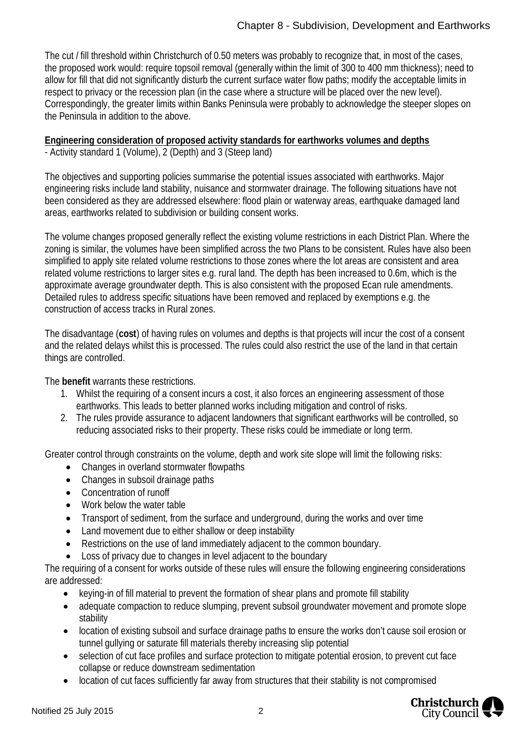The cut / fill threshold within Christchurch of 0.50 meters was probably to recognize that, in most of the cases, the proposed work would: require topsoil removal (generally within the limit of 300 to 400 mm thickness); need to allow for fill that did not significantly disturb the current surface water flow paths; modify the acceptable limits in respect to privacy or the recession plan (in the case where a structure will be placed over the new level). Correspondingly, the greater limits within Banks Peninsula were probably to acknowledge the steeper slopes on the Peninsula in addition to the above.

**Engineering consideration of proposed activity standards for earthworks volumes and depths** - Activity standard 1 (Volume), 2 (Depth) and 3 (Steep land)

The objectives and supporting policies summarise the potential issues associated with earthworks. Major engineering risks include land stability, nuisance and stormwater drainage. The following situations have not been considered as they are addressed elsewhere: flood plain or waterway areas, earthquake damaged land areas, earthworks related to subdivision or building consent works.

The volume changes proposed generally reflect the existing volume restrictions in each District Plan. Where the zoning is similar, the volumes have been simplified across the two Plans to be consistent. Rules have also been simplified to apply site related volume restrictions to those zones where the lot areas are consistent and area related volume restrictions to larger sites e.g. rural land. The depth has been increased to 0.6m, which is the approximate average groundwater depth. This is also consistent with the proposed Ecan rule amendments. Detailed rules to address specific situations have been removed and replaced by exemptions e.g. the construction of access tracks in Rural zones.

The disadvantage (**cost**) of having rules on volumes and depths is that projects will incur the cost of a consent and the related delays whilst this is processed. The rules could also restrict the use of the land in that certain things are controlled.

The **benefit** warrants these restrictions.

- 1. Whilst the requiring of a consent incurs a cost, it also forces an engineering assessment of those earthworks. This leads to better planned works including mitigation and control of risks.
- 2. The rules provide assurance to adjacent landowners that significant earthworks will be controlled, so reducing associated risks to their property. These risks could be immediate or long term.

Greater control through constraints on the volume, depth and work site slope will limit the following risks:

- Changes in overland stormwater flowpaths
- Changes in subsoil drainage paths
- Concentration of runoff
- · Work below the water table
- · Transport of sediment, from the surface and underground, during the works and over time
- · Land movement due to either shallow or deep instability
- · Restrictions on the use of land immediately adjacent to the common boundary.
- Loss of privacy due to changes in level adjacent to the boundary

The requiring of a consent for works outside of these rules will ensure the following engineering considerations are addressed:

- · keying-in of fill material to prevent the formation of shear plans and promote fill stability
- adequate compaction to reduce slumping, prevent subsoil groundwater movement and promote slope stability
- · location of existing subsoil and surface drainage paths to ensure the works don't cause soil erosion or tunnel gullying or saturate fill materials thereby increasing slip potential
- · selection of cut face profiles and surface protection to mitigate potential erosion, to prevent cut face collapse or reduce downstream sedimentation
- · location of cut faces sufficiently far away from structures that their stability is not compromised